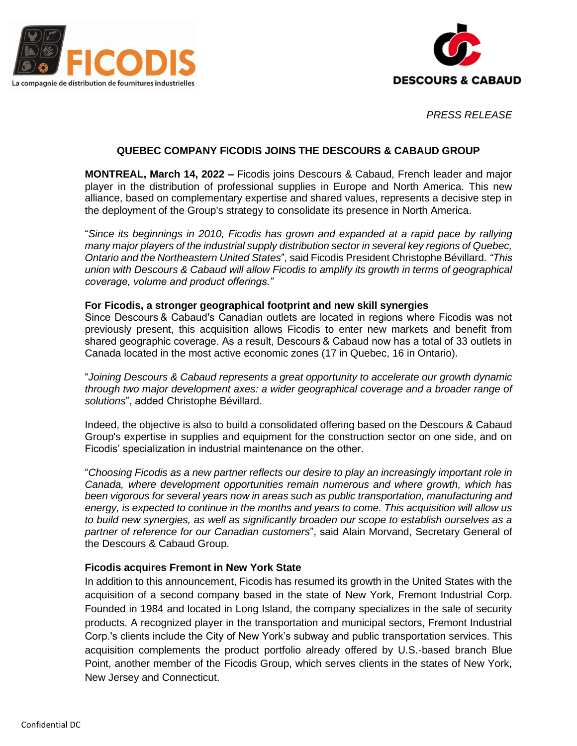



*PRESS RELEASE* 

# **QUEBEC COMPANY FICODIS JOINS THE DESCOURS & CABAUD GROUP**

**MONTREAL, March 14, 2022 –** Ficodis joins Descours & Cabaud, French leader and major player in the distribution of professional supplies in Europe and North America. This new alliance, based on complementary expertise and shared values, represents a decisive step in the deployment of the Group's strategy to consolidate its presence in North America.

"*Since its beginnings in 2010, Ficodis has grown and expanded at a rapid pace by rallying many major players of the industrial supply distribution sector in several key regions of Quebec, Ontario and the Northeastern United States*"*,* said Ficodis President Christophe Bévillard*. "This union with Descours & Cabaud will allow Ficodis to amplify its growth in terms of geographical coverage, volume and product offerings."*

#### **For Ficodis, a stronger geographical footprint and new skill synergies**

Since Descours & Cabaud's Canadian outlets are located in regions where Ficodis was not previously present, this acquisition allows Ficodis to enter new markets and benefit from shared geographic coverage. As a result, Descours & Cabaud now has a total of 33 outlets in Canada located in the most active economic zones (17 in Quebec, 16 in Ontario).

"*Joining Descours & Cabaud represents a great opportunity to accelerate our growth dynamic through two major development axes: a wider geographical coverage and a broader range of solutions*", added Christophe Bévillard.

Indeed, the objective is also to build a consolidated offering based on the Descours & Cabaud Group's expertise in supplies and equipment for the construction sector on one side, and on Ficodis' specialization in industrial maintenance on the other.

"*Choosing Ficodis as a new partner reflects our desire to play an increasingly important role in Canada, where development opportunities remain numerous and where growth, which has been vigorous for several years now in areas such as public transportation, manufacturing and energy, is expected to continue in the months and years to come. This acquisition will allow us to build new synergies, as well as significantly broaden our scope to establish ourselves as a partner of reference for our Canadian customers*", said Alain Morvand, Secretary General of the Descours & Cabaud Group.

## **Ficodis acquires Fremont in New York State**

In addition to this announcement, Ficodis has resumed its growth in the United States with the acquisition of a second company based in the state of New York, Fremont Industrial Corp. Founded in 1984 and located in Long Island, the company specializes in the sale of security products. A recognized player in the transportation and municipal sectors, Fremont Industrial Corp.'s clients include the City of New York's subway and public transportation services. This acquisition complements the product portfolio already offered by U.S.-based branch Blue Point, another member of the Ficodis Group, which serves clients in the states of New York, New Jersey and Connecticut.